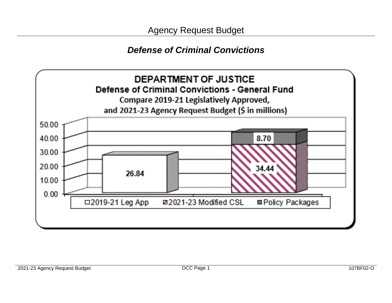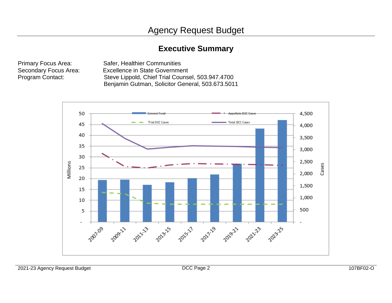# **Executive Summary**

Primary Focus Area: Safer, Healthier Communities<br>Secondary Focus Area: Excellence in State Governme Secondary Focus Area: Excellence in State Government<br>Program Contact: Steve Lippold, Chief Trial Counse Steve Lippold, Chief Trial Counsel, 503.947.4700 Benjamin Gutman, Solicitor General, 503.673.5011

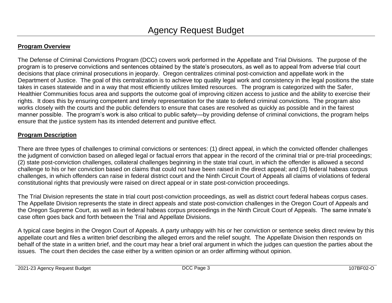# **Program Overview**

The Defense of Criminal Convictions Program (DCC) covers work performed in the Appellate and Trial Divisions. The purpose of the program is to preserve convictions and sentences obtained by the state's prosecutors, as well as to appeal from adverse trial court decisions that place criminal prosecutions in jeopardy. Oregon centralizes criminal post-conviction and appellate work in the Department of Justice. The goal of this centralization is to achieve top quality legal work and consistency in the legal positions the state takes in cases statewide and in a way that most efficiently utilizes limited resources. The program is categorized with the Safer, Healthier Communities focus area and supports the outcome goal of improving citizen access to justice and the ability to exercise their rights. It does this by ensuring competent and timely representation for the state to defend criminal convictions. The program also works closely with the courts and the public defenders to ensure that cases are resolved as quickly as possible and in the fairest manner possible. The program's work is also critical to public safety—by providing defense of criminal convictions, the program helps ensure that the justice system has its intended deterrent and punitive effect.

# **Program Description**

There are three types of challenges to criminal convictions or sentences: (1) direct appeal, in which the convicted offender challenges the judgment of conviction based on alleged legal or factual errors that appear in the record of the criminal trial or pre-trial proceedings; (2) state post-conviction challenges, collateral challenges beginning in the state trial court, in which the offender is allowed a second challenge to his or her conviction based on claims that could not have been raised in the direct appeal; and (3) federal habeas corpus challenges, in which offenders can raise in federal district court and the Ninth Circuit Court of Appeals all claims of violations of federal constitutional rights that previously were raised on direct appeal or in state post-conviction proceedings.

The Trial Division represents the state in trial court post-conviction proceedings, as well as district court federal habeas corpus cases. The Appellate Division represents the state in direct appeals and state post-conviction challenges in the Oregon Court of Appeals and the Oregon Supreme Court, as well as in federal habeas corpus proceedings in the Ninth Circuit Court of Appeals. The same inmate's case often goes back and forth between the Trial and Appellate Divisions.

A typical case begins in the Oregon Court of Appeals. A party unhappy with his or her conviction or sentence seeks direct review by this appellate court and files a written brief describing the alleged errors and the relief sought. The Appellate Division then responds on behalf of the state in a written brief, and the court may hear a brief oral argument in which the judges can question the parties about the issues. The court then decides the case either by a written opinion or an order affirming without opinion.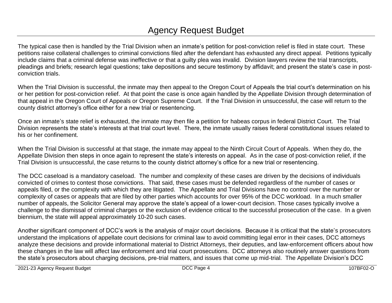# Agency Request Budget

The typical case then is handled by the Trial Division when an inmate's petition for post-conviction relief is filed in state court. These petitions raise collateral challenges to criminal convictions filed after the defendant has exhausted any direct appeal. Petitions typically include claims that a criminal defense was ineffective or that a guilty plea was invalid. Division lawyers review the trial transcripts, pleadings and briefs; research legal questions; take depositions and secure testimony by affidavit; and present the state's case in postconviction trials.

When the Trial Division is successful, the inmate may then appeal to the Oregon Court of Appeals the trial court's determination on his or her petition for post-conviction relief. At that point the case is once again handled by the Appellate Division through determination of that appeal in the Oregon Court of Appeals or Oregon Supreme Court. If the Trial Division in unsuccessful, the case will return to the county district attorney's office either for a new trial or resentencing.

Once an inmate's state relief is exhausted, the inmate may then file a petition for habeas corpus in federal District Court. The Trial Division represents the state's interests at that trial court level. There, the inmate usually raises federal constitutional issues related to his or her confinement.

When the Trial Division is successful at that stage, the inmate may appeal to the Ninth Circuit Court of Appeals. When they do, the Appellate Division then steps in once again to represent the state's interests on appeal. As in the case of post-conviction relief, if the Trial Division is unsuccessful, the case returns to the county district attorney's office for a new trial or resentencing.

The DCC caseload is a mandatory caseload. The number and complexity of these cases are driven by the decisions of individuals convicted of crimes to contest those convictions. That said, these cases must be defended regardless of the number of cases or appeals filed, or the complexity with which they are litigated. The Appellate and Trial Divisions have no control over the number or complexity of cases or appeals that are filed by other parties which accounts for over 95% of the DCC workload. In a much smaller number of appeals, the Solicitor General may approve the state's appeal of a lower-court decision. Those cases typically involve a challenge to the dismissal of criminal charges or the exclusion of evidence critical to the successful prosecution of the case. In a given biennium, the state will appeal approximately 10-20 such cases.

Another significant component of DCC's work is the analysis of major court decisions. Because it is critical that the state's prosecutors understand the implications of appellate court decisions for criminal law to avoid committing legal error in their cases, DCC attorneys analyze these decisions and provide informational material to District Attorneys, their deputies, and law-enforcement officers about how these changes in the law will affect law enforcement and trial court prosecutions. DCC attorneys also routinely answer questions from the state's prosecutors about charging decisions, pre-trial matters, and issues that come up mid-trial. The Appellate Division's DCC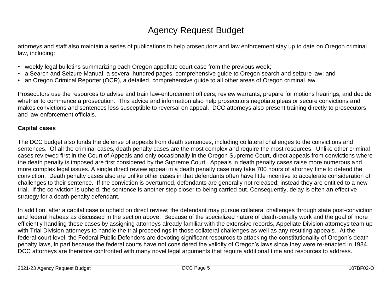attorneys and staff also maintain a series of publications to help prosecutors and law enforcement stay up to date on Oregon criminal law, including:

- weekly legal bulletins summarizing each Oregon appellate court case from the previous week;
- a Search and Seizure Manual, a several-hundred pages, comprehensive guide to Oregon search and seizure law; and
- an Oregon Criminal Reporter (OCR), a detailed, comprehensive guide to all other areas of Oregon criminal law.

Prosecutors use the resources to advise and train law-enforcement officers, review warrants, prepare for motions hearings, and decide whether to commence a prosecution. This advice and information also help prosecutors negotiate pleas or secure convictions and makes convictions and sentences less susceptible to reversal on appeal. DCC attorneys also present training directly to prosecutors and law-enforcement officials.

# **Capital cases**

The DCC budget also funds the defense of appeals from death sentences, including collateral challenges to the convictions and sentences. Of all the criminal cases, death penalty cases are the most complex and require the most resources. Unlike other criminal cases reviewed first in the Court of Appeals and only occasionally in the Oregon Supreme Court, direct appeals from convictions where the death penalty is imposed are first considered by the Supreme Court. Appeals in death penalty cases raise more numerous and more complex legal issues. A single direct review appeal in a death penalty case may take 700 hours of attorney time to defend the conviction. Death penalty cases also are unlike other cases in that defendants often have little incentive to accelerate consideration of challenges to their sentence. If the conviction is overturned, defendants are generally not released; instead they are entitled to a new trial. If the conviction is upheld, the sentence is another step closer to being carried out. Consequently, delay is often an effective strategy for a death penalty defendant.

In addition, after a capital case is upheld on direct review; the defendant may pursue collateral challenges through state post-conviction and federal habeas as discussed in the section above. Because of the specialized nature of death-penalty work and the goal of more efficiently handling these cases by assigning attorneys already familiar with the extensive records, Appellate Division attorneys team up with Trial Division attorneys to handle the trial proceedings in those collateral challenges as well as any resulting appeals. At the federal-court level, the Federal Public Defenders are devoting significant resources to attacking the constitutionality of Oregon's death penalty laws, in part because the federal courts have not considered the validity of Oregon's laws since they were re-enacted in 1984. DCC attorneys are therefore confronted with many novel legal arguments that require additional time and resources to address.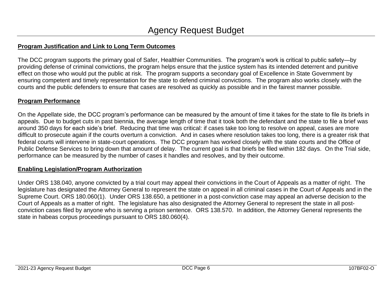# **Program Justification and Link to Long Term Outcomes**

The DCC program supports the primary goal of Safer, Healthier Communities. The program's work is critical to public safety—by providing defense of criminal convictions, the program helps ensure that the justice system has its intended deterrent and punitive effect on those who would put the public at risk. The program supports a secondary goal of Excellence in State Government by ensuring competent and timely representation for the state to defend criminal convictions. The program also works closely with the courts and the public defenders to ensure that cases are resolved as quickly as possible and in the fairest manner possible.

# **Program Performance**

On the Appellate side, the DCC program's performance can be measured by the amount of time it takes for the state to file its briefs in appeals. Due to budget cuts in past biennia, the average length of time that it took both the defendant and the state to file a brief was around 350 days for each side's brief. Reducing that time was critical: if cases take too long to resolve on appeal, cases are more difficult to prosecute again if the courts overturn a conviction. And in cases where resolution takes too long, there is a greater risk that federal courts will intervene in state-court operations. The DCC program has worked closely with the state courts and the Office of Public Defense Services to bring down that amount of delay. The current goal is that briefs be filed within 182 days. On the Trial side, performance can be measured by the number of cases it handles and resolves, and by their outcome.

## **Enabling Legislation/Program Authorization**

Under ORS 138.040, anyone convicted by a trial court may appeal their convictions in the Court of Appeals as a matter of right. The legislature has designated the Attorney General to represent the state on appeal in all criminal cases in the Court of Appeals and in the Supreme Court. ORS 180.060(1). Under ORS 138.650, a petitioner in a post-conviction case may appeal an adverse decision to the Court of Appeals as a matter of right. The legislature has also designated the Attorney General to represent the state in all postconviction cases filed by anyone who is serving a prison sentence. ORS 138.570. In addition, the Attorney General represents the state in habeas corpus proceedings pursuant to ORS 180.060(4).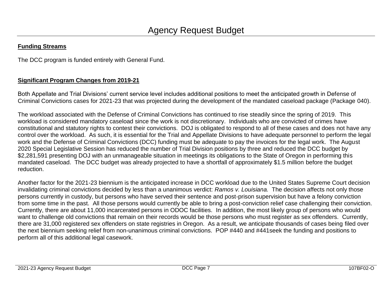# **Funding Streams**

The DCC program is funded entirely with General Fund.

# **Significant Program Changes from 2019-21**

Both Appellate and Trial Divisions' current service level includes additional positions to meet the anticipated growth in Defense of Criminal Convictions cases for 2021-23 that was projected during the development of the mandated caseload package (Package 040).

The workload associated with the Defense of Criminal Convictions has continued to rise steadily since the spring of 2019. This workload is considered mandatory caseload since the work is not discretionary. Individuals who are convicted of crimes have constitutional and statutory rights to contest their convictions. DOJ is obligated to respond to all of these cases and does not have any control over the workload. As such, it is essential for the Trial and Appellate Divisions to have adequate personnel to perform the legal work and the Defense of Criminal Convictions (DCC) funding must be adequate to pay the invoices for the legal work. The August 2020 Special Legislative Session has reduced the number of Trial Division positions by three and reduced the DCC budget by \$2,281,591 presenting DOJ with an unmanageable situation in meetings its obligations to the State of Oregon in performing this mandated caseload. The DCC budget was already projected to have a shortfall of approximately \$1.5 million before the budget reduction.

Another factor for the 2021-23 biennium is the anticipated increase in DCC workload due to the United States Supreme Court decision invalidating criminal convictions decided by less than a unanimous verdict: *Ramos v. Louisiana.* The decision affects not only those persons currently in custody, but persons who have served their sentence and post-prison supervision but have a felony conviction from some time in the past. All those persons would currently be able to bring a post-conviction relief case challenging their conviction. Currently, there are about 11,000 incarcerated persons in ODOC facilities. In addition, the most likely group of persons who would want to challenge old convictions that remain on their records would be those persons who must register as sex offenders. Currently, there are 31,000 registered sex offenders on state registries in Oregon. As a result, we anticipate thousands of cases being filed over the next biennium seeking relief from non-unanimous criminal convictions. POP #440 and #441seek the funding and positions to perform all of this additional legal casework.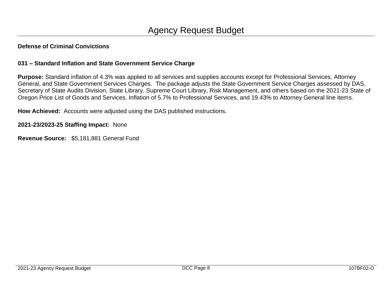### **031 – Standard Inflation and State Government Service Charge**

**Purpose:** Standard inflation of 4.3% was applied to all services and supplies accounts except for Professional Services, Attorney General, and State Government Services Charges. The package adjusts the State Government Service Charges assessed by DAS, Secretary of State Audits Division, State Library, Supreme Court Library, Risk Management, and others based on the 2021-23 State of Oregon Price List of Goods and Services. Inflation of 5.7% to Professional Services, and 19.43% to Attorney General line items.

**How Achieved:** Accounts were adjusted using the DAS published instructions.

**2021-23/2023-25 Staffing Impact:** None

**Revenue Source:** \$5,181,881 General Fund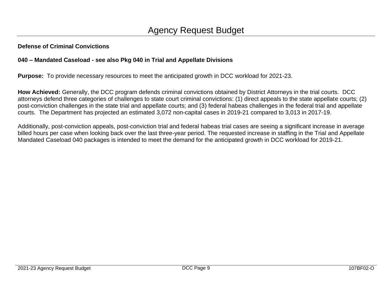# **040 – Mandated Caseload - see also Pkg 040 in Trial and Appellate Divisions**

**Purpose:** To provide necessary resources to meet the anticipated growth in DCC workload for 2021-23.

**How Achieved:** Generally, the DCC program defends criminal convictions obtained by District Attorneys in the trial courts. DCC attorneys defend three categories of challenges to state court criminal convictions: (1) direct appeals to the state appellate courts; (2) post-conviction challenges in the state trial and appellate courts; and (3) federal habeas challenges in the federal trial and appellate courts. The Department has projected an estimated 3,072 non-capital cases in 2019-21 compared to 3,013 in 2017-19.

Additionally, post-conviction appeals, post-conviction trial and federal habeas trial cases are seeing a significant increase in average billed hours per case when looking back over the last three-year period. The requested increase in staffing in the Trial and Appellate Mandated Caseload 040 packages is intended to meet the demand for the anticipated growth in DCC workload for 2019-21.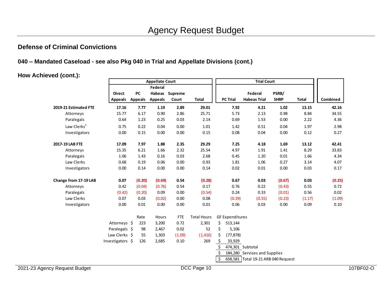## **040 – Mandated Caseload - see also Pkg 040 in Trial and Appellate Divisions (cont.)**

**How Achieved (cont.):**

|                               |                  | <b>Appellate Court</b> |                |                |                    | <b>Trial Court</b>     |                                     |             |              |          |           |
|-------------------------------|------------------|------------------------|----------------|----------------|--------------------|------------------------|-------------------------------------|-------------|--------------|----------|-----------|
|                               |                  |                        | Federal        |                |                    |                        |                                     |             |              |          |           |
|                               | <b>Direct</b>    | PC                     |                | Habeas Supreme |                    |                        | Federal                             | PSRB/       |              |          |           |
|                               | <b>Appeals</b>   | <b>Appeals</b>         | <b>Appeals</b> | Court          | <b>Total</b>       | <b>PC Trial</b>        | <b>Habeas Trial</b>                 | <b>SHRP</b> | <b>Total</b> | Combined |           |
| 2019-21 Estimated FTE         | 17.16            | 7.77                   | 1.19           | 2.89           | 29.01              |                        | 7.92<br>4.21                        | 1.02        | 13.15        | 42.16    |           |
| Attorneys                     | 15.77            | 6.17                   | 0.90           | 2.86           | 25.71              |                        | 5.73<br>2.13                        | 0.98        | 8.84         | 34.55    |           |
| Paralegals                    | 0.64             | 1.23                   | 0.25           | 0.03           | 2.14               |                        | 0.69<br>1.53                        | 0.00        | 2.22         | 4.36     |           |
| Law Clerks <sup>1</sup>       | 0.75             | 0.22                   | 0.04           | 0.00           | 1.01               |                        | 1.42<br>0.51                        | 0.04        | 1.97         | 2.98     |           |
| Investigators                 | 0.00             | 0.15                   | 0.00           | 0.00           | 0.15               |                        | 0.08<br>0.04                        | 0.00        | 0.12         | 0.27     |           |
| 2017-19 LAB FTE               | 17.09            | 7.97                   | 1.88           | 2.35           | 29.29              |                        | 7.25<br>4.18                        | 1.69        | 13.12        | 42.41    |           |
| Attorneys                     | 15.35            | 6.21                   | 1.66           | 2.32           | 25.54              |                        | 4.97<br>1.91                        | 1.41        | 8.29         | 33.83    |           |
| Paralegals                    | 1.06             | 1.43                   | 0.16           | 0.03           | 2.68               |                        | 0.45<br>1.20                        | 0.01        | 1.66         | 4.34     |           |
| Law Clerks                    | 0.68             | 0.19                   | 0.06           | 0.00           | 0.93               |                        | 1.81<br>1.06                        | 0.27        | 3.14         | 4.07     |           |
| Investigators                 | 0.00             | 0.14                   | 0.00           | 0.00           | 0.14               |                        | 0.02<br>0.01                        | 0.00        | 0.03         | 0.17     |           |
| Change from 17-19 LAB         | 0.07             | (0.20)                 | (0.69)         | 0.54           | (0.28)             |                        | 0.67<br>0.03                        | (0.67)      | 0.03         | (0.25)   |           |
| Attorneys                     | 0.42             | (0.04)                 | (0.76)         | 0.54           | 0.17               |                        | 0.76<br>0.22                        | (0.43)      | 0.55         | 0.72     |           |
| Paralegals                    | (0.42)           | (0.20)                 | 0.09           | 0.00           | (0.54)             |                        | 0.24<br>0.33                        | (0.01)      | 0.56         | 0.02     |           |
| Law Clerks                    | 0.07             | 0.03                   | (0.02)         | 0.00           | 0.08               |                        | (0.39)<br>(0.55)                    | (0.23)      | (1.17)       | (1.09)   |           |
| Investigators                 | 0.00             | 0.01                   | 0.00           | 0.00           | 0.01               |                        | 0.03<br>0.06                        | 0.00        | 0.09         | $0.10\,$ |           |
|                               |                  | Rate                   | Hours          | <b>FTE</b>     | <b>Total Hours</b> | <b>GF Expenditures</b> |                                     |             |              |          |           |
|                               | Attorneys \$     | 223                    | 3,200          | 0.72           | 2,301              | \$<br>513,144          |                                     |             |              |          |           |
|                               | Paralegals \$    | 98                     | 2,467          | 0.02           | 52                 | \$<br>5,106            |                                     |             |              |          |           |
|                               | Law Clerks \$    | 55                     | 1,303          | (1.09)         | (1, 416)           | (77, 878)<br>\$        |                                     |             |              |          |           |
|                               | Investigators \$ | 126                    | 2,685          | 0.10           | 269                | 33,929                 |                                     |             |              |          |           |
|                               |                  |                        |                |                |                    |                        | 474,301 Subtotal                    |             |              |          |           |
|                               |                  |                        |                |                |                    |                        | 184,280 Services and Supplies       |             |              |          |           |
|                               |                  |                        |                |                |                    | \$                     | 658,581 Total 19-21 ARB 040 Request |             |              |          |           |
| 2021-23 Agency Request Budget |                  |                        |                |                | DCC Page 10        |                        |                                     |             |              |          | 107BF02-O |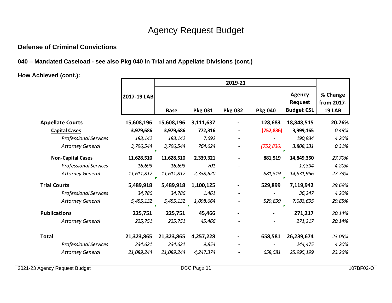**040 – Mandated Caseload - see also Pkg 040 in Trial and Appellate Divisions (cont.)**

**How Achieved (cont.):**

|                              |             |                 |                           | 2019-21        |                |                                                      |                                         |
|------------------------------|-------------|-----------------|---------------------------|----------------|----------------|------------------------------------------------------|-----------------------------------------|
|                              | 2017-19 LAB | <b>Base</b>     | <b>Pkg 031</b>            | <b>Pkg 032</b> | <b>Pkg 040</b> | <b>Agency</b><br><b>Request</b><br><b>Budget CSL</b> | % Change<br>from 2017-<br><b>19 LAB</b> |
| <b>Appellate Courts</b>      | 15,608,196  | 15,608,196      | 3,111,637                 |                | 128,683        | 18,848,515                                           | 20.76%                                  |
| <b>Capital Cases</b>         | 3,979,686   | 3,979,686       | 772,316                   |                | (752, 836)     | 3,999,165                                            | 0.49%                                   |
| <b>Professional Services</b> | 183,142     | 183,142         | 7,692                     |                |                | 190,834                                              | 4.20%                                   |
| <b>Attorney General</b>      | 3,796,544   | 3,796,544       | 764,624                   |                | (752, 836)     | 3,808,331                                            | 0.31%                                   |
| <b>Non-Capital Cases</b>     | 11,628,510  | 11,628,510      | 2,339,321                 |                | 881,519        | 14,849,350                                           | 27.70%                                  |
| <b>Professional Services</b> | 16,693      | 16,693          | 701                       |                |                | 17,394                                               | 4.20%                                   |
| <b>Attorney General</b>      | 11,611,817  | 11,611,817      | 2,338,620                 |                | 881,519        | 14,831,956                                           | 27.73%                                  |
| <b>Trial Courts</b>          | 5,489,918   | 5,489,918       | 1,100,125                 |                | 529,899        | 7,119,942                                            | 29.69%                                  |
| <b>Professional Services</b> | 34,786      | 34,786          | 1,461                     |                |                | 36,247                                               | 4.20%                                   |
| <b>Attorney General</b>      | 5,455,132   | 5,455,132<br>F. | 1,098,664<br>$\mathbf{r}$ |                | 529,899        | 7,083,695<br>×                                       | 29.85%                                  |
| <b>Publications</b>          | 225,751     | 225,751         | 45,466                    |                |                | 271,217                                              | 20.14%                                  |
| <b>Attorney General</b>      | 225,751     | 225,751         | 45,466                    |                |                | 271,217                                              | 20.14%                                  |
|                              |             |                 |                           |                |                |                                                      |                                         |
| <b>Total</b>                 | 21,323,865  | 21,323,865      | 4,257,228                 |                | 658,581        | 26,239,674                                           | 23.05%                                  |
| <b>Professional Services</b> | 234,621     | 234,621         | 9,854                     |                |                | 244,475                                              | 4.20%                                   |
| <b>Attorney General</b>      | 21,089,244  | 21,089,244      | 4,247,374                 |                | 658,581        | 25,995,199                                           | 23.26%                                  |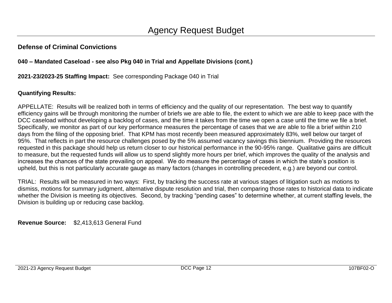# **040 – Mandated Caseload - see also Pkg 040 in Trial and Appellate Divisions (cont.)**

# **2021-23/2023-25 Staffing Impact:** See corresponding Package 040 in Trial

# **Quantifying Results:**

APPELLATE: Results will be realized both in terms of efficiency and the quality of our representation. The best way to quantify efficiency gains will be through monitoring the number of briefs we are able to file, the extent to which we are able to keep pace with the DCC caseload without developing a backlog of cases, and the time it takes from the time we open a case until the time we file a brief. Specifically, we monitor as part of our key performance measures the percentage of cases that we are able to file a brief within 210 days from the filing of the opposing brief. That KPM has most recently been measured approximately 83%, well below our target of 95%. That reflects in part the resource challenges posed by the 5% assumed vacancy savings this biennium. Providing the resources requested in this package should help us return closer to our historical performance in the 90-95% range. Qualitative gains are difficult to measure, but the requested funds will allow us to spend slightly more hours per brief, which improves the quality of the analysis and increases the chances of the state prevailing on appeal. We do measure the percentage of cases in which the state's position is upheld, but this is not particularly accurate gauge as many factors (changes in controlling precedent, e.g.) are beyond our control.

TRIAL: Results will be measured in two ways: First, by tracking the success rate at various stages of litigation such as motions to dismiss, motions for summary judgment, alternative dispute resolution and trial, then comparing those rates to historical data to indicate whether the Division is meeting its objectives. Second, by tracking "pending cases" to determine whether, at current staffing levels, the Division is building up or reducing case backlog.

**Revenue Source:** \$2,413,613 General Fund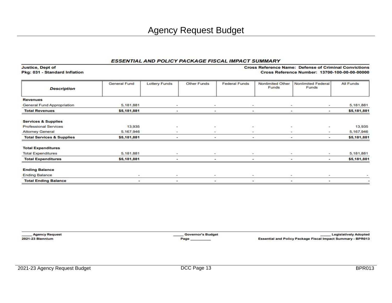Pkg: 031 - Standard Inflation Cross Reference Number: 13700-100-00-00-00000 Nonlimited Other General Fund **Lottery Funds** Other Funds **Federal Funds** Nonlimited Federal All Funds Funds Funds **Description Revenues** General Fund Appropriation 5, 181, 881 5,181,881 **Total Revenues** \$5,181,881 \$5,181,881 ÷ ÷  $\overline{\phantom{a}}$  $\overline{a}$ ÷ **Services & Supplies Professional Services** 13.935 13.935 **Attorney General** 5,167,946 5,167,946  $\overline{\phantom{a}}$ ÷ ίü, ٠ **Total Services & Supplies** \$5,181,881 \$5,181,881 ä, ×, ÷. ×, **Total Expenditures Total Expenditures** 5,181,881 5,181,881 × ä, ÷  $\overline{a}$ \$5,181,881 **Total Expenditures** ×.  $\bar{\omega}$ \$5,181,881 ÷. У.  $\sim$ **Ending Balance Ending Balance Total Ending Balance** œ, ×, ä, ц. ÷, ÷.

**Agency Request 2021-23 Biennium** 

**Justice, Dept of** 

**Governor's Budget** Page

**Legislatively Adopted Essential and Policy Package Fiscal Impact Summary - BPR013** 

**Cross Reference Name: Defense of Criminal Convictions**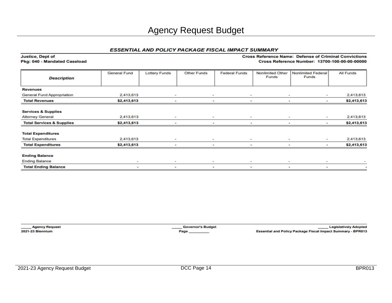# Agency Request Budget

#### **ESSENTIAL AND POLICY PACKAGE FISCAL IMPACT SUMMARY**

| <b>Description</b>                   | General Fund | <b>Lottery Funds</b>     | Other Funds    | <b>Federal Funds</b>     | Nonlimited Other<br>Funds | <b>Nonlimited Federal</b><br>Funds | All Funds                |
|--------------------------------------|--------------|--------------------------|----------------|--------------------------|---------------------------|------------------------------------|--------------------------|
| <b>Revenues</b>                      |              |                          |                |                          |                           |                                    |                          |
| General Fund Appropriation           | 2,413,613    | v                        | ÷              | $\sim$                   |                           | ÷.                                 | 2,413,613                |
| <b>Total Revenues</b>                | \$2,413,613  |                          |                | ۰                        |                           | ۰                                  | \$2,413,613              |
| <b>Services &amp; Supplies</b>       |              |                          |                |                          |                           |                                    |                          |
| <b>Attorney General</b>              | 2,413,613    | $\overline{\phantom{a}}$ | z.             | $\sim$                   | $\sim$                    | ÷                                  | 2,413,613                |
| <b>Total Services &amp; Supplies</b> | \$2,413,613  |                          |                | ۰                        |                           | ۰                                  | \$2,413,613              |
| <b>Total Expenditures</b>            |              |                          |                |                          |                           |                                    |                          |
| <b>Total Expenditures</b>            | 2,413,613    | ×.                       | ÷              | $\sim$                   |                           | $\sim$<br>$\sim$                   | 2,413,613                |
| <b>Total Expenditures</b>            | \$2,413,613  |                          |                | $\overline{\phantom{a}}$ |                           |                                    | \$2,413,613              |
| <b>Ending Balance</b>                |              |                          |                |                          |                           |                                    |                          |
| <b>Ending Balance</b>                | ۰            | $\sim$                   | m.             | $\sim$                   | $\sim$                    | ۰                                  |                          |
| <b>Total Ending Balance</b>          | ۰.           | $\overline{\phantom{0}}$ | $\blacksquare$ | $\sim$                   | $\blacksquare$            | ۰                                  | $\overline{\phantom{a}}$ |

Justice, Dept of Pkg: 040 - Mandated Caseload

**Agency Request** 2021-23 Biennium

**Governor's Budget** Page

**Legislatively Adopted Essential and Policy Package Fiscal Impact Summary - BPR013** 

**Cross Reference Name: Defense of Criminal Convictions** 

Cross Reference Number: 13700-100-00-00-00000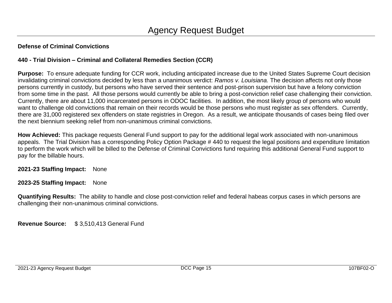# **440 - Trial Division – Criminal and Collateral Remedies Section (CCR)**

**Purpose:** To ensure adequate funding for CCR work, including anticipated increase due to the United States Supreme Court decision invalidating criminal convictions decided by less than a unanimous verdict: *Ramos v. Louisiana.* The decision affects not only those persons currently in custody, but persons who have served their sentence and post-prison supervision but have a felony conviction from some time in the past. All those persons would currently be able to bring a post-conviction relief case challenging their conviction. Currently, there are about 11,000 incarcerated persons in ODOC facilities. In addition, the most likely group of persons who would want to challenge old convictions that remain on their records would be those persons who must register as sex offenders. Currently, there are 31,000 registered sex offenders on state registries in Oregon. As a result, we anticipate thousands of cases being filed over the next biennium seeking relief from non-unanimous criminal convictions.

**How Achieved:** This package requests General Fund support to pay for the additional legal work associated with non-unanimous appeals. The Trial Division has a corresponding Policy Option Package # 440 to request the legal positions and expenditure limitation to perform the work which will be billed to the Defense of Criminal Convictions fund requiring this additional General Fund support to pay for the billable hours.

**2021-23 Staffing Impact:** None

**2023-25 Staffing Impact:** None

**Quantifying Results:** The ability to handle and close post-conviction relief and federal habeas corpus cases in which persons are challenging their non-unanimous criminal convictions.

**Revenue Source:** \$ 3,510,413 General Fund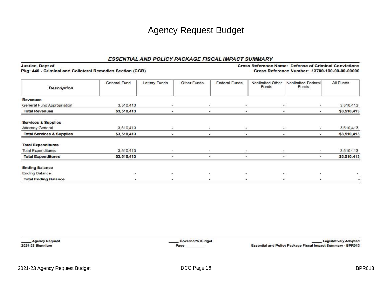| <b>Justice, Dept of</b><br>Pkg: 440 - Criminal and Collateral Remedies Section (CCR) |                     |                          |             |                          |                           | <b>Cross Reference Name: Defense of Criminal Convictions</b><br>Cross Reference Number: 13700-100-00-00-00000 |             |
|--------------------------------------------------------------------------------------|---------------------|--------------------------|-------------|--------------------------|---------------------------|---------------------------------------------------------------------------------------------------------------|-------------|
| <b>Description</b>                                                                   | <b>General Fund</b> | <b>Lottery Funds</b>     | Other Funds | <b>Federal Funds</b>     | Nonlimited Other<br>Funds | <b>Nonlimited Federal</b><br>Funds                                                                            | All Funds   |
| <b>Revenues</b>                                                                      |                     |                          |             |                          |                           |                                                                                                               |             |
| General Fund Appropriation                                                           | 3.510.413           |                          |             |                          |                           |                                                                                                               | 3,510,413   |
| <b>Total Revenues</b>                                                                | \$3,510,413         |                          |             |                          |                           | $\blacksquare$<br>۰                                                                                           | \$3,510,413 |
| <b>Services &amp; Supplies</b>                                                       |                     |                          |             |                          |                           |                                                                                                               |             |
| <b>Attorney General</b>                                                              | 3,510,413           | ×                        | R.          | $\overline{\phantom{a}}$ |                           | ×.<br>$\sim$                                                                                                  | 3,510,413   |
| <b>Total Services &amp; Supplies</b>                                                 | \$3,510,413         |                          |             |                          |                           | $\blacksquare$<br>۰                                                                                           | \$3,510,413 |
| <b>Total Expenditures</b>                                                            |                     |                          |             |                          |                           |                                                                                                               |             |
| <b>Total Expenditures</b>                                                            | 3,510,413           | ۰                        | $\sim$      | $\overline{\phantom{a}}$ |                           | ۰                                                                                                             | 3,510,413   |
| <b>Total Expenditures</b>                                                            | \$3,510,413         |                          |             |                          |                           |                                                                                                               | \$3,510,413 |
| <b>Ending Balance</b>                                                                |                     |                          |             |                          |                           |                                                                                                               |             |
| <b>Ending Balance</b>                                                                | ×                   | $\sim$                   | $\sim$      | $\sim$                   |                           | $\sim$<br>$\,$                                                                                                |             |
| <b>Total Ending Balance</b>                                                          | ۰                   | $\overline{\phantom{a}}$ | ۰           | $\cdot$                  |                           | ۰                                                                                                             |             |

**Agency Request** 2021-23 Biennium

**Governor's Budget** Page

**Legislatively Adopted** Essential and Policy Package Fiscal Impact Summary - BPR013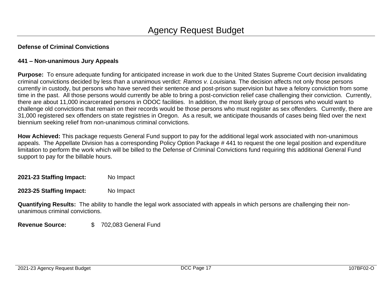# **441 – Non-unanimous Jury Appeals**

**Purpose:** To ensure adequate funding for anticipated increase in work due to the United States Supreme Court decision invalidating criminal convictions decided by less than a unanimous verdict: *Ramos v. Louisiana.* The decision affects not only those persons currently in custody, but persons who have served their sentence and post-prison supervision but have a felony conviction from some time in the past. All those persons would currently be able to bring a post-conviction relief case challenging their conviction. Currently, there are about 11,000 incarcerated persons in ODOC facilities. In addition, the most likely group of persons who would want to challenge old convictions that remain on their records would be those persons who must register as sex offenders. Currently, there are 31,000 registered sex offenders on state registries in Oregon. As a result, we anticipate thousands of cases being filed over the next biennium seeking relief from non-unanimous criminal convictions.

**How Achieved:** This package requests General Fund support to pay for the additional legal work associated with non-unanimous appeals. The Appellate Division has a corresponding Policy Option Package # 441 to request the one legal position and expenditure limitation to perform the work which will be billed to the Defense of Criminal Convictions fund requiring this additional General Fund support to pay for the billable hours.

**2021-23 Staffing Impact:** No Impact

**2023-25 Staffing Impact:** No Impact

**Quantifying Results:** The ability to handle the legal work associated with appeals in which persons are challenging their nonunanimous criminal convictions.

**Revenue Source:** \$ 702,083 General Fund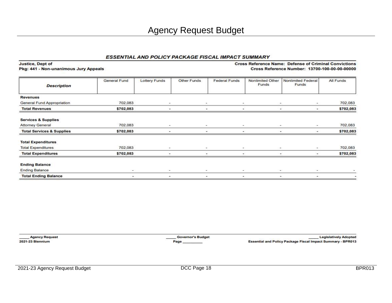Justice, Dept of Pkg: 441 - Non-unanimous Jury Appeals **Cross Reference Name: Defense of Criminal Convictions** Cross Reference Number: 13700-100-00-00-00000

| <b>Description</b>                   | General Fund | <b>Lottery Funds</b>     | Other Funds | <b>Federal Funds</b>     | Nonlimited Other<br>Funds | <b>Nonlimited Federal</b><br>Funds | All Funds |
|--------------------------------------|--------------|--------------------------|-------------|--------------------------|---------------------------|------------------------------------|-----------|
| <b>Revenues</b>                      |              |                          |             |                          |                           |                                    |           |
| <b>General Fund Appropriation</b>    | 702.083      | $\sim$                   | $\sim$      | $\sim$                   |                           | $\sim$<br>$\sim$                   | 702.083   |
| <b>Total Revenues</b>                | \$702,083    |                          |             | $\overline{\phantom{a}}$ |                           | ۰<br>۰                             | \$702,083 |
| <b>Services &amp; Supplies</b>       |              |                          |             |                          |                           |                                    |           |
| <b>Attorney General</b>              | 702,083      | $\overline{\phantom{a}}$ | $\sim$      | $\sim$                   |                           | $\sim$<br>$\sim$                   | 702,083   |
| <b>Total Services &amp; Supplies</b> | \$702,083    |                          | ۰           | $\blacksquare$           |                           | ۰<br>$\blacksquare$                | \$702,083 |
| <b>Total Expenditures</b>            |              |                          |             |                          |                           |                                    |           |
| <b>Total Expenditures</b>            | 702,083      | $\sim$                   | ۰           | ۰                        | ۰                         | $\sim$                             | 702,083   |
| <b>Total Expenditures</b>            | \$702,083    |                          |             | $\overline{\phantom{a}}$ |                           | $\rightarrow$<br>$\sim$            | \$702,083 |
| <b>Ending Balance</b>                |              |                          |             |                          |                           |                                    |           |
| <b>Ending Balance</b>                | $\sim$       | $\sim$                   | $\sim$      | $\,$                     |                           | $\sim$ 1<br>$\sim$                 |           |
| <b>Total Ending Balance</b>          | ۰            | ۰                        | ۰           | ۰                        |                           | ×.<br>۰                            | œ.        |

**Agency Request** 2021-23 Biennium

**Governor's Budget** Page

**Legislatively Adopted** Essential and Policy Package Fiscal Impact Summary - BPR013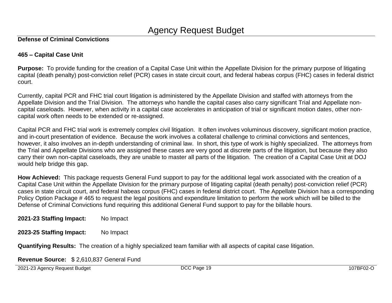# **465 – Capital Case Unit**

**Purpose:** To provide funding for the creation of a Capital Case Unit within the Appellate Division for the primary purpose of litigating capital (death penalty) post-conviction relief (PCR) cases in state circuit court, and federal habeas corpus (FHC) cases in federal district court.

Currently, capital PCR and FHC trial court litigation is administered by the Appellate Division and staffed with attorneys from the Appellate Division and the Trial Division. The attorneys who handle the capital cases also carry significant Trial and Appellate noncapital caseloads. However, when activity in a capital case accelerates in anticipation of trial or significant motion dates, other noncapital work often needs to be extended or re-assigned.

Capital PCR and FHC trial work is extremely complex civil litigation. It often involves voluminous discovery, significant motion practice, and in-court presentation of evidence. Because the work involves a collateral challenge to criminal convictions and sentences, however, it also involves an in-depth understanding of criminal law. In short, this type of work is highly specialized. The attorneys from the Trial and Appellate Divisions who are assigned these cases are very good at discrete parts of the litigation, but because they also carry their own non-capital caseloads, they are unable to master all parts of the litigation. The creation of a Capital Case Unit at DOJ would help bridge this gap.

**How Achieved:** This package requests General Fund support to pay for the additional legal work associated with the creation of a Capital Case Unit within the Appellate Division for the primary purpose of litigating capital (death penalty) post-conviction relief (PCR) cases in state circuit court, and federal habeas corpus (FHC) cases in federal district court. The Appellate Division has a corresponding Policy Option Package # 465 to request the legal positions and expenditure limitation to perform the work which will be billed to the Defense of Criminal Convictions fund requiring this additional General Fund support to pay for the billable hours.

**2021-23 Staffing Impact:** No Impact

**2023-25 Staffing Impact:** No Impact

**Quantifying Results:** The creation of a highly specialized team familiar with all aspects of capital case litigation.

**Revenue Source:** \$ 2,610,837 General Fund

2021-23 Agency Request Budget DCC Page 19 107BF02-O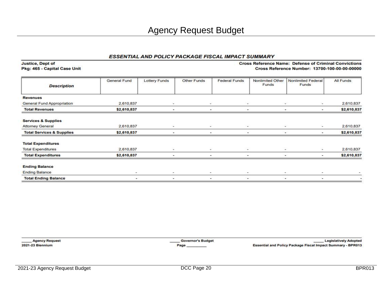| <b>Description</b>                   | General Fund   | <b>Lottery Funds</b>     | Other Funds | <b>Federal Funds</b> | Nonlimited Other<br>Funds | <b>Nonlimited Federal</b><br>Funds | All Funds   |
|--------------------------------------|----------------|--------------------------|-------------|----------------------|---------------------------|------------------------------------|-------------|
| <b>Revenues</b>                      |                |                          |             |                      |                           |                                    |             |
| <b>General Fund Appropriation</b>    | 2,610,837      | $\sim$                   | S.          | Ξ                    | ٠                         | u.                                 | 2,610,837   |
| <b>Total Revenues</b>                | \$2,610,837    | ٠                        | ۰           | ۰                    |                           | ۰<br>$\blacksquare$                | \$2,610,837 |
| <b>Services &amp; Supplies</b>       |                |                          |             |                      |                           |                                    |             |
| <b>Attorney General</b>              | 2,610,837      | $\overline{\phantom{a}}$ | ÷           | $\sim$               |                           | $\overline{\phantom{a}}$<br>$\sim$ | 2,610,837   |
| <b>Total Services &amp; Supplies</b> | \$2,610,837    |                          |             | ۰                    |                           | $\sim$<br>۰                        | \$2,610,837 |
| <b>Total Expenditures</b>            |                |                          |             |                      |                           |                                    |             |
| <b>Total Expenditures</b>            | 2,610,837      | $\sim$                   | ×           | ÷                    | $\sim$                    | $\sim$                             | 2,610,837   |
| <b>Total Expenditures</b>            | \$2,610,837    |                          |             |                      | ۰                         |                                    | \$2,610,837 |
| <b>Ending Balance</b>                |                |                          |             |                      |                           |                                    |             |
| <b>Ending Balance</b>                | $\sim$         | $\sim$                   | $\sim$      | $\sim$               | $\overline{\phantom{a}}$  | $\blacksquare$                     |             |
| <b>Total Ending Balance</b>          | $\blacksquare$ | ۰                        | ۰           | ۰                    |                           | $\overline{\phantom{a}}$<br>۰      |             |

**Agency Request** 2021-23 Biennium

**Justice, Dept of** 

Pkg: 465 - Capital Case Unit

Governor's Budget Page

**Legislatively Adopted** Essential and Policy Package Fiscal Impact Summary - BPR013

**Cross Reference Name: Defense of Criminal Convictions** 

Cross Reference Number: 13700-100-00-00-00000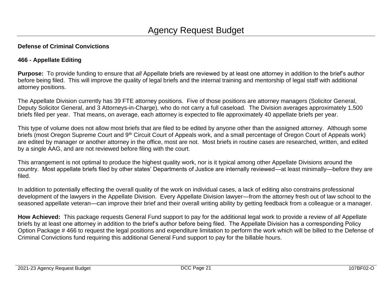# **466 - Appellate Editing**

**Purpose:** To provide funding to ensure that *all* Appellate briefs are reviewed by at least one attorney in addition to the brief's author before being filed. This will improve the quality of legal briefs and the internal training and mentorship of legal staff with additional attorney positions.

The Appellate Division currently has 39 FTE attorney positions. Five of those positions are attorney managers (Solicitor General, Deputy Solicitor General, and 3 Attorneys-in-Charge), who do not carry a full caseload. The Division averages approximately 1,500 briefs filed per year. That means, on average, each attorney is expected to file approximately 40 appellate briefs per year.

This type of volume does not allow most briefs that are filed to be edited by anyone other than the assigned attorney. Although some briefs (most Oregon Supreme Court and 9<sup>th</sup> Circuit Court of Appeals work, and a small percentage of Oregon Court of Appeals work) are edited by manager or another attorney in the office, most are not. Most briefs in routine cases are researched, written, and edited by a single AAG, and are not reviewed before filing with the court.

This arrangement is not optimal to produce the highest quality work, nor is it typical among other Appellate Divisions around the country. Most appellate briefs filed by other states' Departments of Justice are internally reviewed—at least minimally—before they are filed.

In addition to potentially effecting the overall quality of the work on individual cases, a lack of editing also constrains professional development of the lawyers in the Appellate Division. Every Appellate Division lawyer—from the attorney fresh out of law school to the seasoned appellate veteran—can improve their brief and their overall writing ability by getting feedback from a colleague or a manager.

**How Achieved:** This package requests General Fund support to pay for the additional legal work to provide a review of *all* Appellate briefs by at least one attorney in addition to the brief's author before being filed. The Appellate Division has a corresponding Policy Option Package # 466 to request the legal positions and expenditure limitation to perform the work which will be billed to the Defense of Criminal Convictions fund requiring this additional General Fund support to pay for the billable hours.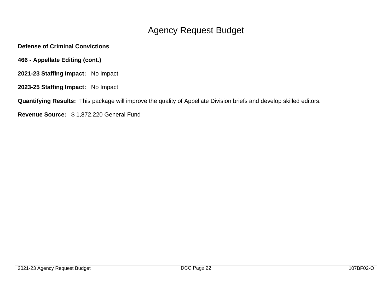- **466 - Appellate Editing (cont.)**
- **2021-23 Staffing Impact:** No Impact
- **2023-25 Staffing Impact:** No Impact

**Quantifying Results:** This package will improve the quality of Appellate Division briefs and develop skilled editors.

**Revenue Source:** \$ 1,872,220 General Fund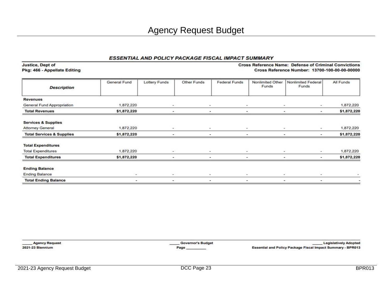| Pkg: 466 - Appellate Editing         |              |                |                          |                      |                           | Cross Reference Number: 13700-100-00-00-00000 |             |
|--------------------------------------|--------------|----------------|--------------------------|----------------------|---------------------------|-----------------------------------------------|-------------|
| <b>Description</b>                   | General Fund | Lottery Funds  | Other Funds              | <b>Federal Funds</b> | Nonlimited Other<br>Funds | Nonlimited Federal<br><b>Funds</b>            | All Funds   |
| <b>Revenues</b>                      |              |                |                          |                      |                           |                                               |             |
| General Fund Appropriation           | 1,872,220    | $\sim$         | $\sim$                   | $\sim$               |                           | $\sim$<br>$\overline{\phantom{a}}$            | 1,872,220   |
| <b>Total Revenues</b>                | \$1,872,220  |                |                          |                      |                           |                                               | \$1,872,220 |
| <b>Services &amp; Supplies</b>       |              |                |                          |                      |                           |                                               |             |
| <b>Attorney General</b>              | 1,872,220    | $\sim$         | $\sim$                   | $\sim$               |                           | $\sim$<br>۰                                   | 1,872,220   |
| <b>Total Services &amp; Supplies</b> | \$1,872,220  |                |                          |                      |                           | ۰                                             | \$1,872,220 |
| <b>Total Expenditures</b>            |              |                |                          |                      |                           |                                               |             |
| <b>Total Expenditures</b>            | 1,872,220    | $\overline{a}$ | $\overline{\phantom{a}}$ | ۰                    |                           | $\sim$                                        | 1,872,220   |
| <b>Total Expenditures</b>            | \$1,872,220  |                |                          |                      |                           | ۰                                             | \$1,872,220 |
| <b>Ending Balance</b>                |              |                |                          |                      |                           |                                               |             |
| <b>Ending Balance</b>                | $\sim$       | $\sim$         | $\blacksquare$           | $\sim$               |                           | $\,$                                          |             |
| <b>Total Ending Balance</b>          | ۰            | ۰              | ٠                        | ٠                    |                           | ۰<br>۰                                        |             |

**Agency Request** 2021-23 Biennium

**Justice, Dept of** 

**Governor's Budget** Page\_

Legislatively Adopted Essential and Policy Package Fiscal Impact Summary - BPR013

**Cross Reference Name: Defense of Criminal Convictions**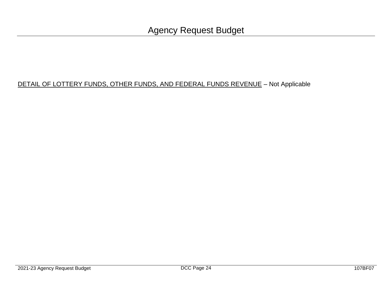# DETAIL OF LOTTERY FUNDS, OTHER FUNDS, AND FEDERAL FUNDS REVENUE - Not Applicable